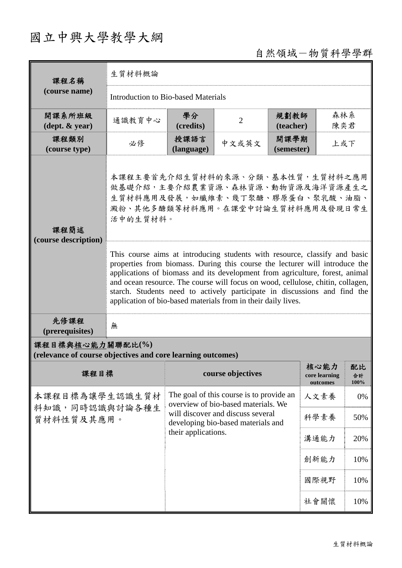## 國立中興大學教學大綱

## 自然領域-物質科學學群

| 課程名稱                                                                            | 生質材料概論                                                                                                                                                                                                                                                                                                                                                                                                                                                                     |                                                                                                                                                                                   |                   |                    |                                   |                  |  |
|---------------------------------------------------------------------------------|----------------------------------------------------------------------------------------------------------------------------------------------------------------------------------------------------------------------------------------------------------------------------------------------------------------------------------------------------------------------------------------------------------------------------------------------------------------------------|-----------------------------------------------------------------------------------------------------------------------------------------------------------------------------------|-------------------|--------------------|-----------------------------------|------------------|--|
| (course name)                                                                   | Introduction to Bio-based Materials                                                                                                                                                                                                                                                                                                                                                                                                                                        |                                                                                                                                                                                   |                   |                    |                                   |                  |  |
| 開課系所班級<br>$(\text{dept.} \& \text{ year})$                                      | 通識教育中心                                                                                                                                                                                                                                                                                                                                                                                                                                                                     | 學分<br>(credits)                                                                                                                                                                   | $\overline{2}$    | 規劃教師<br>(teacher)  | 森林系<br>陳奕君                        |                  |  |
| 課程類別<br>(course type)                                                           | 必修                                                                                                                                                                                                                                                                                                                                                                                                                                                                         | 授課語言<br>(language)                                                                                                                                                                | 中文或英文             | 開課學期<br>(semester) | 上或下                               |                  |  |
| 課程簡述<br>(course description)                                                    | 本課程主要首先介紹生質材料的來源、分類、基本性質,生質材料之應用<br>做基礎介紹,主要介紹農業資源、森林資源、動物資源及海洋資源產生之<br>生質材料應用及發展,如纖維素、幾丁聚醣、膠原蛋白、聚乳酸、油脂、<br>澱粉、其他多醣類等材料應用。在課堂中討論生質材料應用及發現日常生<br>活中的生質材料。                                                                                                                                                                                                                                                                                                                   |                                                                                                                                                                                   |                   |                    |                                   |                  |  |
|                                                                                 | This course aims at introducing students with resource, classify and basic<br>properties from biomass. During this course the lecturer will introduce the<br>applications of biomass and its development from agriculture, forest, animal<br>and ocean resource. The course will focus on wood, cellulose, chitin, collagen,<br>starch. Students need to actively participate in discussions and find the<br>application of bio-based materials from in their daily lives. |                                                                                                                                                                                   |                   |                    |                                   |                  |  |
| 先修課程<br>(prerequisites)                                                         | 無                                                                                                                                                                                                                                                                                                                                                                                                                                                                          |                                                                                                                                                                                   |                   |                    |                                   |                  |  |
| 課程目標與核心能力關聯配比(%)<br>(relevance of course objectives and core learning outcomes) |                                                                                                                                                                                                                                                                                                                                                                                                                                                                            |                                                                                                                                                                                   |                   |                    |                                   |                  |  |
| 課程目標                                                                            |                                                                                                                                                                                                                                                                                                                                                                                                                                                                            |                                                                                                                                                                                   | course objectives |                    | 核心能力<br>core learning<br>outcomes | 配比<br>合計<br>100% |  |
| 本課程目標為讓學生認識生質材<br>料知識,同時認識與討論各種生<br>質材料性質及其應用。                                  |                                                                                                                                                                                                                                                                                                                                                                                                                                                                            | The goal of this course is to provide an<br>overview of bio-based materials. We<br>will discover and discuss several<br>developing bio-based materials and<br>their applications. |                   | 人文素養               | 0%                                |                  |  |
|                                                                                 |                                                                                                                                                                                                                                                                                                                                                                                                                                                                            |                                                                                                                                                                                   |                   | 科學素養               | 50%                               |                  |  |
|                                                                                 |                                                                                                                                                                                                                                                                                                                                                                                                                                                                            |                                                                                                                                                                                   |                   | 溝通能力               | 20%                               |                  |  |
|                                                                                 |                                                                                                                                                                                                                                                                                                                                                                                                                                                                            |                                                                                                                                                                                   |                   |                    | 創新能力                              | 10%              |  |
|                                                                                 |                                                                                                                                                                                                                                                                                                                                                                                                                                                                            |                                                                                                                                                                                   |                   |                    | 國際視野                              | 10%              |  |
|                                                                                 |                                                                                                                                                                                                                                                                                                                                                                                                                                                                            |                                                                                                                                                                                   |                   |                    | 社會關懷                              | 10%              |  |